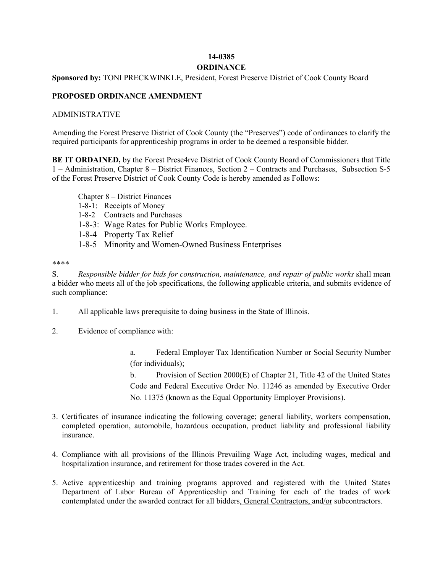## **14-0385 ORDINANCE**

## **Sponsored by:** TONI PRECKWINKLE, President, Forest Preserve District of Cook County Board

## **PROPOSED ORDINANCE AMENDMENT**

## ADMINISTRATIVE

Amending the Forest Preserve District of Cook County (the "Preserves") code of ordinances to clarify the required participants for apprenticeship programs in order to be deemed a responsible bidder.

**BE IT ORDAINED,** by the Forest Prese4rve District of Cook County Board of Commissioners that Title 1 – Administration, Chapter 8 – District Finances, Section 2 – Contracts and Purchases, Subsection S-5 of the Forest Preserve District of Cook County Code is hereby amended as Follows:

- Chapter 8 District Finances
- 1-8-1: Receipts of Money
- 1-8-2 Contracts and Purchases
- 1-8-3: Wage Rates for Public Works Employee.
- 1-8-4 Property Tax Relief
- 1-8-5 Minority and Women-Owned Business Enterprises

\*\*\*\*

S. *Responsible bidder for bids for construction, maintenance, and repair of public works* shall mean a bidder who meets all of the job specifications, the following applicable criteria, and submits evidence of such compliance:

- 1. All applicable laws prerequisite to doing business in the State of Illinois.
- 2. Evidence of compliance with:

a. Federal Employer Tax Identification Number or Social Security Number (for individuals);

b. Provision of Section 2000(E) of Chapter 21, Title 42 of the United States Code and Federal Executive Order No. 11246 as amended by Executive Order No. 11375 (known as the Equal Opportunity Employer Provisions).

- 3. Certificates of insurance indicating the following coverage; general liability, workers compensation, completed operation, automobile, hazardous occupation, product liability and professional liability insurance.
- 4. Compliance with all provisions of the Illinois Prevailing Wage Act, including wages, medical and hospitalization insurance, and retirement for those trades covered in the Act.
- 5. Active apprenticeship and training programs approved and registered with the United States Department of Labor Bureau of Apprenticeship and Training for each of the trades of work contemplated under the awarded contract for all bidders, General Contractors, and/or subcontractors.